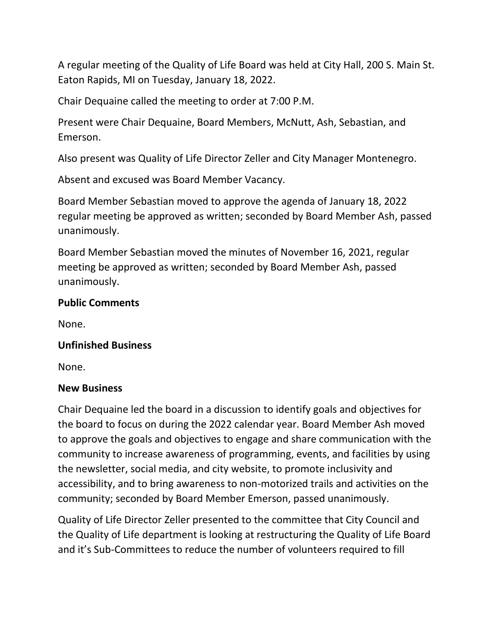A regular meeting of the Quality of Life Board was held at City Hall, 200 S. Main St. Eaton Rapids, MI on Tuesday, January 18, 2022.

Chair Dequaine called the meeting to order at 7:00 P.M.

Present were Chair Dequaine, Board Members, McNutt, Ash, Sebastian, and Emerson.

Also present was Quality of Life Director Zeller and City Manager Montenegro.

Absent and excused was Board Member Vacancy.

Board Member Sebastian moved to approve the agenda of January 18, 2022 regular meeting be approved as written; seconded by Board Member Ash, passed unanimously.

Board Member Sebastian moved the minutes of November 16, 2021, regular meeting be approved as written; seconded by Board Member Ash, passed unanimously.

### **Public Comments**

None.

### **Unfinished Business**

None.

#### **New Business**

Chair Dequaine led the board in a discussion to identify goals and objectives for the board to focus on during the 2022 calendar year. Board Member Ash moved to approve the goals and objectives to engage and share communication with the community to increase awareness of programming, events, and facilities by using the newsletter, social media, and city website, to promote inclusivity and accessibility, and to bring awareness to non-motorized trails and activities on the community; seconded by Board Member Emerson, passed unanimously.

Quality of Life Director Zeller presented to the committee that City Council and the Quality of Life department is looking at restructuring the Quality of Life Board and it's Sub-Committees to reduce the number of volunteers required to fill